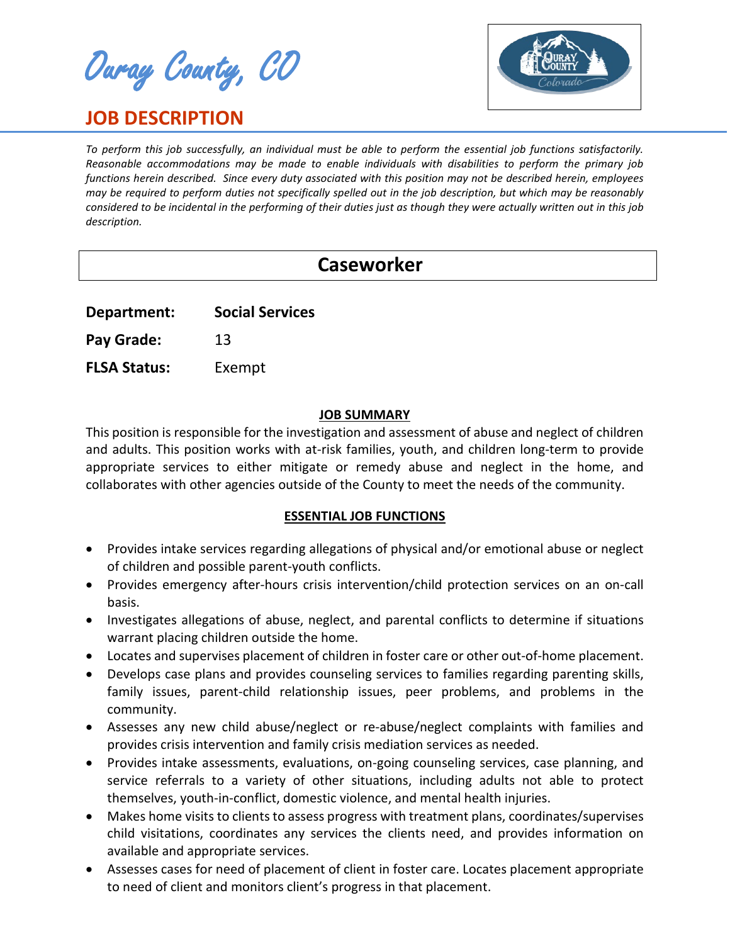Ouray County, CO

# **JOB DESCRIPTION**



*To perform this job successfully, an individual must be able to perform the essential job functions satisfactorily. Reasonable accommodations may be made to enable individuals with disabilities to perform the primary job functions herein described. Since every duty associated with this position may not be described herein, employees may be required to perform duties not specifically spelled out in the job description, but which may be reasonably considered to be incidental in the performing of their duties just as though they were actually written out in this job description.*

# **Caseworker**

**Department: Social Services**

Pay Grade: 13

**FLSA Status:** Exempt

## **JOB SUMMARY**

This position is responsible for the investigation and assessment of abuse and neglect of children and adults. This position works with at-risk families, youth, and children long-term to provide appropriate services to either mitigate or remedy abuse and neglect in the home, and collaborates with other agencies outside of the County to meet the needs of the community.

## **ESSENTIAL JOB FUNCTIONS**

- Provides intake services regarding allegations of physical and/or emotional abuse or neglect of children and possible parent-youth conflicts.
- Provides emergency after-hours crisis intervention/child protection services on an on-call basis.
- Investigates allegations of abuse, neglect, and parental conflicts to determine if situations warrant placing children outside the home.
- Locates and supervises placement of children in foster care or other out-of-home placement.
- Develops case plans and provides counseling services to families regarding parenting skills, family issues, parent-child relationship issues, peer problems, and problems in the community.
- Assesses any new child abuse/neglect or re-abuse/neglect complaints with families and provides crisis intervention and family crisis mediation services as needed.
- Provides intake assessments, evaluations, on-going counseling services, case planning, and service referrals to a variety of other situations, including adults not able to protect themselves, youth-in-conflict, domestic violence, and mental health injuries.
- Makes home visits to clients to assess progress with treatment plans, coordinates/supervises child visitations, coordinates any services the clients need, and provides information on available and appropriate services.
- Assesses cases for need of placement of client in foster care. Locates placement appropriate to need of client and monitors client's progress in that placement.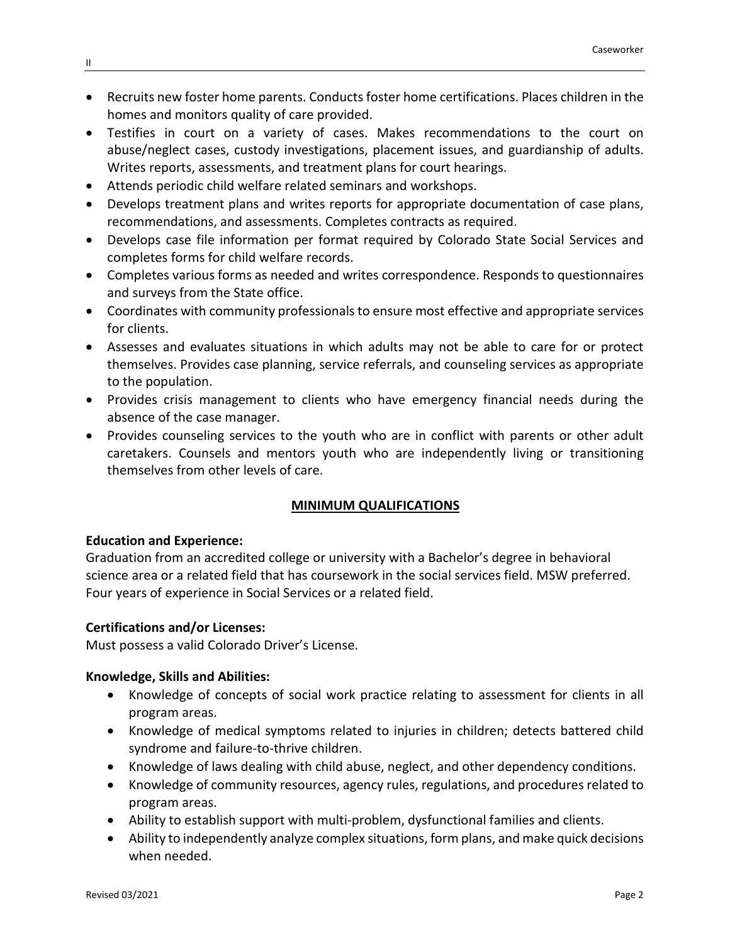- Recruits new foster home parents. Conducts foster home certifications. Places children in the homes and monitors quality of care provided.
- Testifies in court on a variety of cases. Makes recommendations to the court on abuse/neglect cases, custody investigations, placement issues, and guardianship of adults. Writes reports, assessments, and treatment plans for court hearings.
- Attends periodic child welfare related seminars and workshops.
- Develops treatment plans and writes reports for appropriate documentation of case plans, recommendations, and assessments. Completes contracts as required.
- Develops case file information per format required by Colorado State Social Services and completes forms for child welfare records.
- Completes various forms as needed and writes correspondence. Responds to questionnaires and surveys from the State office.
- Coordinates with community professionals to ensure most effective and appropriate services for clients.
- Assesses and evaluates situations in which adults may not be able to care for or protect themselves. Provides case planning, service referrals, and counseling services as appropriate to the population.
- Provides crisis management to clients who have emergency financial needs during the absence of the case manager.
- Provides counseling services to the youth who are in conflict with parents or other adult caretakers. Counsels and mentors youth who are independently living or transitioning themselves from other levels of care.

# **MINIMUM QUALIFICATIONS**

## **Education and Experience:**

Graduation from an accredited college or university with a Bachelor's degree in behavioral science area or a related field that has coursework in the social services field. MSW preferred. Four years of experience in Social Services or a related field.

## **Certifications and/or Licenses:**

Must possess a valid Colorado Driver's License.

#### **Knowledge, Skills and Abilities:**

- Knowledge of concepts of social work practice relating to assessment for clients in all program areas.
- Knowledge of medical symptoms related to injuries in children; detects battered child syndrome and failure-to-thrive children.
- Knowledge of laws dealing with child abuse, neglect, and other dependency conditions.
- Knowledge of community resources, agency rules, regulations, and procedures related to program areas.
- Ability to establish support with multi-problem, dysfunctional families and clients.
- Ability to independently analyze complex situations, form plans, and make quick decisions when needed.